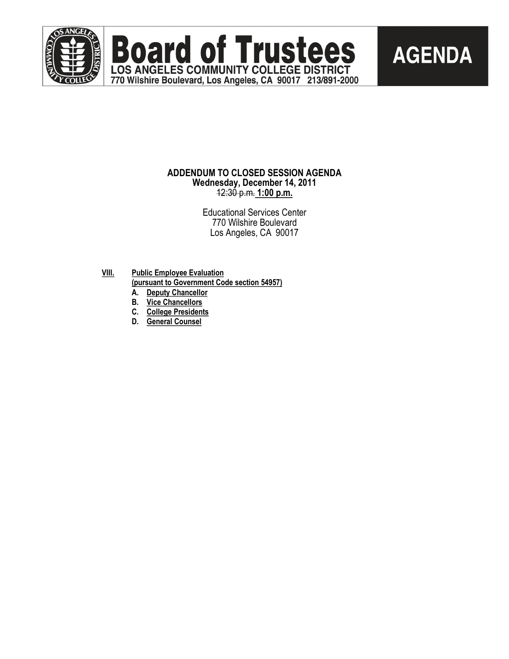

**Board of Trustees AGENDA** LOS ANGELES COMMUNITY COLLEGE DISTRICT

#### **ADDENDUM TO CLOSED SESSION AGENDA Wednesday, December 14, 2011** 12:30 p.m. **1:00 p.m.**

770 Wilshire Boulevard, Los Angeles, CA 90017 213/891-2000

Educational Services Center 770 Wilshire Boulevard Los Angeles, CA 90017

- **VIII. Public Employee Evaluation (pursuant to Government Code section 54957)**
	- **A. Deputy Chancellor**
	- **B. Vice Chancellors**
	- **C. College Presidents**
	- **D. General Counsel**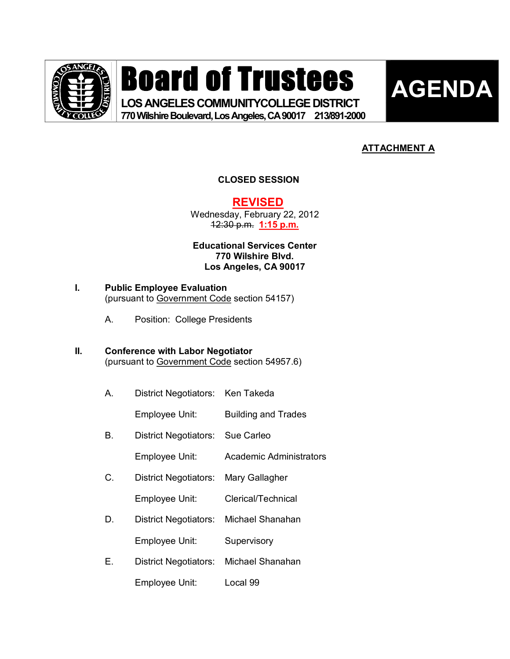

# Board of Trustees

**LOS ANGELES COMMUNITYCOLLEGE DISTRICT 770WilshireBoulevard,LosAngeles,CA90017 213/8912000** 



### **ATTACHMENT A**

#### **CLOSED SESSION**

**REVISED**

Wednesday, February 22, 2012 12:30 p.m. **1:15 p.m.** 

**Educational Services Center 770 Wilshire Blvd. Los Angeles, CA 90017**

## **I. Public Employee Evaluation**

(pursuant to Government Code section 54157)

A. Position: College Presidents

#### **II. Conference with Labor Negotiator** (pursuant to Government Code section 54957.6)

A. District Negotiators: Ken Takeda

Employee Unit: Building and Trades

B. District Negotiators: Sue Carleo

Employee Unit: Academic Administrators

- C. District Negotiators: Mary Gallagher
	- Employee Unit: Clerical/Technical
- D. District Negotiators: Michael Shanahan
	- Employee Unit: Supervisory
- E. District Negotiators: Michael Shanahan
	- Employee Unit: Local 99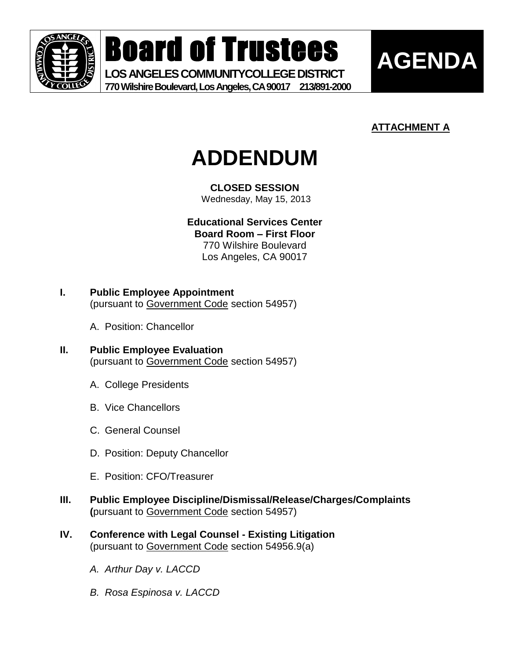

Board of Trustees

**LOS ANGELES COMMUNITYCOLLEGE DISTRICT 770 Wilshire Boulevard, Los Angeles, CA 90017 213/891-2000**



## **ATTACHMENT A**



**CLOSED SESSION**

Wednesday, May 15, 2013

**Educational Services Center Board Room – First Floor**

770 Wilshire Boulevard Los Angeles, CA 90017

- **I. Public Employee Appointment** (pursuant to Government Code section 54957)
	- A. Position: Chancellor
- **II. Public Employee Evaluation** (pursuant to Government Code section 54957)
	- A. College Presidents
	- B. Vice Chancellors
	- C. General Counsel
	- D. Position: Deputy Chancellor
	- E. Position: CFO/Treasurer
- **III. Public Employee Discipline/Dismissal/Release/Charges/Complaints (**pursuant to Government Code section 54957)
- **IV. Conference with Legal Counsel - Existing Litigation** (pursuant to Government Code section 54956.9(a)
	- *A. Arthur Day v. LACCD*
	- *B. Rosa Espinosa v. LACCD*